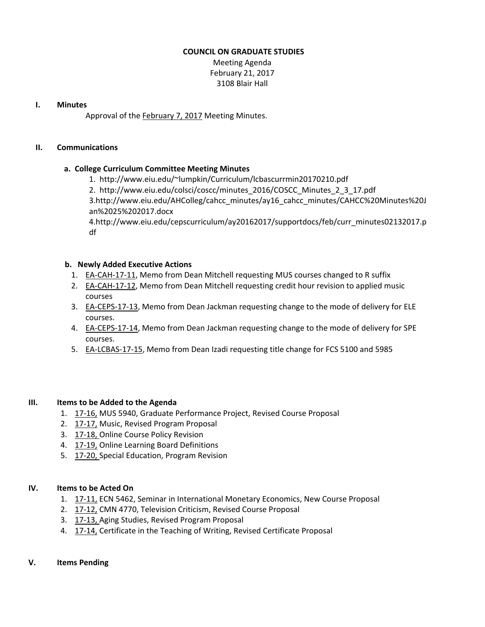### **COUNCIL ON GRADUATE STUDIES**

Meeting Agenda February 21, 2017 3108 Blair Hall

### **I. Minutes**

Approval of the [February](http://castle.eiu.edu/eiucgs/currentminutes/Minutes2-7-17.pdf) 7, 2017 Meeting Minutes.

### **II. Communications**

# **a. College Curriculum Committee Meeting Minutes**

1. [http://www.eiu.edu/~lumpkin/Curriculum/lcbascurrmin20170210.pdf](http://www.eiu.edu/lumpkin/Curriculum/lcbascurrmin20170210.pdf)

2. [http://www.eiu.edu/colsci/coscc/minutes\\_2016/COSCC\\_Minutes\\_2\\_3\\_17.pdf](http://www.eiu.edu/colsci/coscc/minutes_2016/COSCC_Minutes_2_3_17.pdf)

3[.http://www.eiu.edu/AHColleg/cahcc\\_minutes/ay16\\_cahcc\\_minutes/CAHCC%20Minu](http://www.eiu.edu/AHColleg/cahcc_minutes/ay17_cahcc_minutes/CAHCC%20Minutes%20Jan%2025%202017.docx)tes%20J an%2025%202017.docx

4[.http://www.eiu.edu/cepscurriculum/ay20162017/supportdocs/feb/curr\\_minutes02132](http://www.eiu.edu/cepscurriculum/ay20162017/supportdocs/feb/curr_minutes02132017.pdf)017.p df

### **b. Newly Added Executive Actions**

- 1. EA‐[CAH](http://castle.eiu.edu/~eiucgs/exec-actions/EA-CAH-17-11.pdf)‐17‐11, Memo from Dean Mitchell requesting MUS courses changed to R suffix
- 2. EA-[CAH](http://castle.eiu.edu/~eiucgs/exec-actions/EA-CAH-17-12.pdf)-17-12, Memo from Dean Mitchell requesting credit hour revision to applied music courses
- 3. EA‐[CEPS](http://castle.eiu.edu/~eiucgs/exec-actions/EA-CEPS-17-13.pdf)‐17‐13, Memo from Dean Jackman requesting change to the mode of delivery for ELE courses.
- 4. EA‐[CEPS](http://castle.eiu.edu/~eiucgs/exec-actions/EA-CEPS-17-14.pdf)‐17‐14, Memo from Dean Jackman requesting change to the mode of delivery for SPE courses.
- 5. EA‐[LCBAS](http://castle.eiu.edu/~eiucgs/exec-actions/EA-LCBAS-17-15.pdf)‐17‐15, Memo from Dean Izadi requesting title change for FCS 5100 and 5985

### **III. Items to be Added to the Agenda**

- 1. 17‐[16,](http://castle.eiu.edu/eiucgs/currentagendaitems/agenda17-16.pdf) MUS 5940, Graduate Performance Project, Revised Course Proposal
- 2. 17‐[17,](http://castle.eiu.edu/eiucgs/currentagendaitems/agenda17-17.pdf) Music, Revised Program Proposal
- 3. 17‐[18,](http://castle.eiu.edu/eiucgs/currentagendaitems/agenda17-18.pdf) Online Course Policy Revision
- 4. 17‐[19,](http://castle.eiu.edu/eiucgs/currentagendaitems/agenda17-19.pdf) Online Learning Board Definitions
- 5. 17‐[20,](http://castle.eiu.edu/eiucgs/currentagendaitems/agenda17-20.pdf) Special Education, Program Revision

# **IV. Items to be Acted On**

- 1. 17-[11,](http://castle.eiu.edu/eiucgs/currentagendaitems/agenda17-11.pdf) ECN 5462, Seminar in International Monetary Economics, New Course Proposal
- 2. 17-[12,](http://castle.eiu.edu/eiucgs/currentagendaitems/agenda17-12.pdf) CMN 4770, Television Criticism, Revised Course Proposal
- 3. 17‐[13,](http://castle.eiu.edu/eiucgs/currentagendaitems/agenda17-13.pdf) Aging Studies, Revised Program Proposal
- 4. 17-[14,](http://castle.eiu.edu/eiucgs/currentagendaitems/agenda17-14.pdf) Certificate in the Teaching of Writing, Revised Certificate Proposal

#### **V. Items Pending**